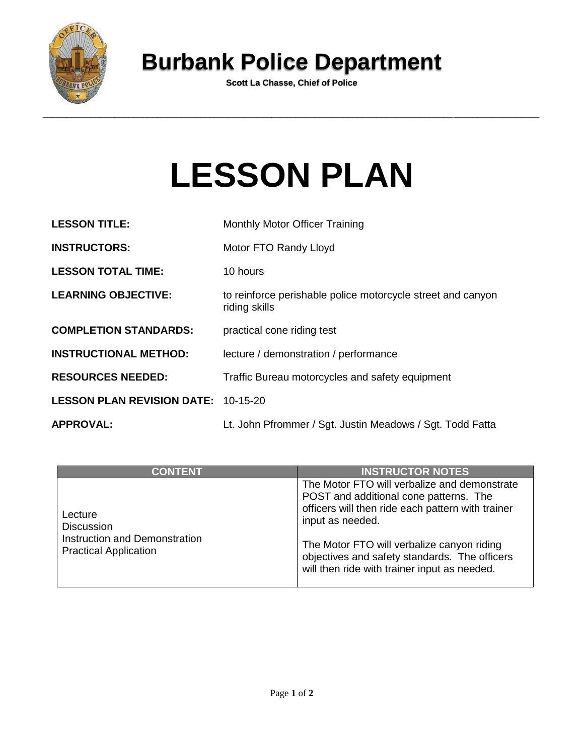

## **Burbank Police Department**

**Scott La Chasse, Chief of Police**

## **LESSON PLAN**

| <b>LESSON TITLE:</b>                       | <b>Monthly Motor Officer Training</b>                                        |
|--------------------------------------------|------------------------------------------------------------------------------|
| <b>INSTRUCTORS:</b>                        | Motor FTO Randy Lloyd                                                        |
| <b>LESSON TOTAL TIME:</b>                  | 10 hours                                                                     |
| <b>LEARNING OBJECTIVE:</b>                 | to reinforce perishable police motorcycle street and canyon<br>riding skills |
| <b>COMPLETION STANDARDS:</b>               | practical cone riding test                                                   |
| <b>INSTRUCTIONAL METHOD:</b>               | lecture / demonstration / performance                                        |
| <b>RESOURCES NEEDED:</b>                   | Traffic Bureau motorcycles and safety equipment                              |
| <b>LESSON PLAN REVISION DATE: 10-15-20</b> |                                                                              |
| <b>APPROVAL:</b>                           | Lt. John Pfrommer / Sgt. Justin Meadows / Sgt. Todd Fatta                    |

| <b>CONTENT</b>                                                                                | <b>INSTRUCTOR NOTES</b>                                                                                                                                                                                                                                                                                        |
|-----------------------------------------------------------------------------------------------|----------------------------------------------------------------------------------------------------------------------------------------------------------------------------------------------------------------------------------------------------------------------------------------------------------------|
| Lecture<br><b>Discussion</b><br>Instruction and Demonstration<br><b>Practical Application</b> | The Motor FTO will verbalize and demonstrate<br>POST and additional cone patterns. The<br>officers will then ride each pattern with trainer<br>input as needed.<br>The Motor FTO will verbalize canyon riding<br>objectives and safety standards. The officers<br>will then ride with trainer input as needed. |